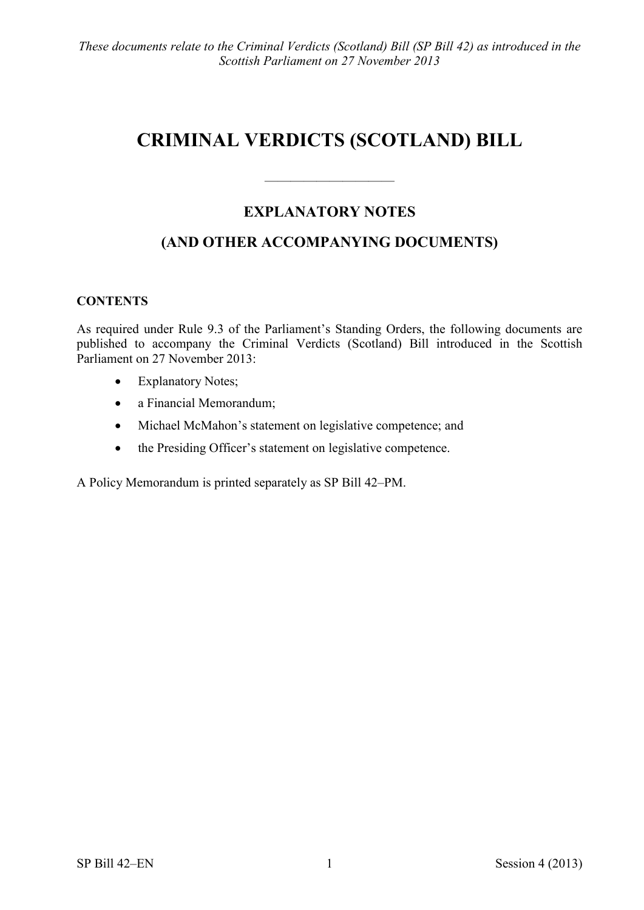# **CRIMINAL VERDICTS (SCOTLAND) BILL**

## **EXPLANATORY NOTES**

 $\frac{1}{\sqrt{2}}$ 

# **(AND OTHER ACCOMPANYING DOCUMENTS)**

#### **CONTENTS**

As required under Rule 9.3 of the Parliament's Standing Orders, the following documents are published to accompany the Criminal Verdicts (Scotland) Bill introduced in the Scottish Parliament on 27 November 2013:

- Explanatory Notes;
- a Financial Memorandum;
- Michael McMahon's statement on legislative competence; and
- the Presiding Officer's statement on legislative competence.

A Policy Memorandum is printed separately as SP Bill 42–PM.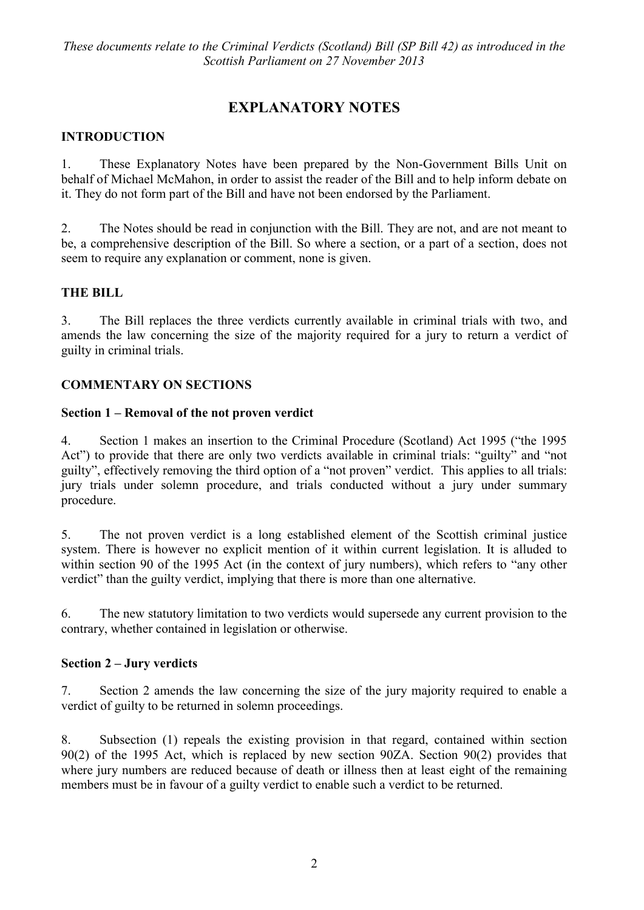# **EXPLANATORY NOTES**

### **INTRODUCTION**

1. These Explanatory Notes have been prepared by the Non-Government Bills Unit on behalf of Michael McMahon, in order to assist the reader of the Bill and to help inform debate on it. They do not form part of the Bill and have not been endorsed by the Parliament.

2. The Notes should be read in conjunction with the Bill. They are not, and are not meant to be, a comprehensive description of the Bill. So where a section, or a part of a section, does not seem to require any explanation or comment, none is given.

#### **THE BILL**

3. The Bill replaces the three verdicts currently available in criminal trials with two, and amends the law concerning the size of the majority required for a jury to return a verdict of guilty in criminal trials.

#### **COMMENTARY ON SECTIONS**

#### **Section 1 – Removal of the not proven verdict**

4. Section 1 makes an insertion to the Criminal Procedure (Scotland) Act 1995 ("the 1995 Act") to provide that there are only two verdicts available in criminal trials: "guilty" and "not guilty", effectively removing the third option of a "not proven" verdict. This applies to all trials: jury trials under solemn procedure, and trials conducted without a jury under summary procedure.

5. The not proven verdict is a long established element of the Scottish criminal justice system. There is however no explicit mention of it within current legislation. It is alluded to within section 90 of the 1995 Act (in the context of jury numbers), which refers to "any other verdict" than the guilty verdict, implying that there is more than one alternative.

6. The new statutory limitation to two verdicts would supersede any current provision to the contrary, whether contained in legislation or otherwise.

#### **Section 2 – Jury verdicts**

7. Section 2 amends the law concerning the size of the jury majority required to enable a verdict of guilty to be returned in solemn proceedings.

8. Subsection (1) repeals the existing provision in that regard, contained within section 90(2) of the 1995 Act, which is replaced by new section 90ZA. Section 90(2) provides that where jury numbers are reduced because of death or illness then at least eight of the remaining members must be in favour of a guilty verdict to enable such a verdict to be returned.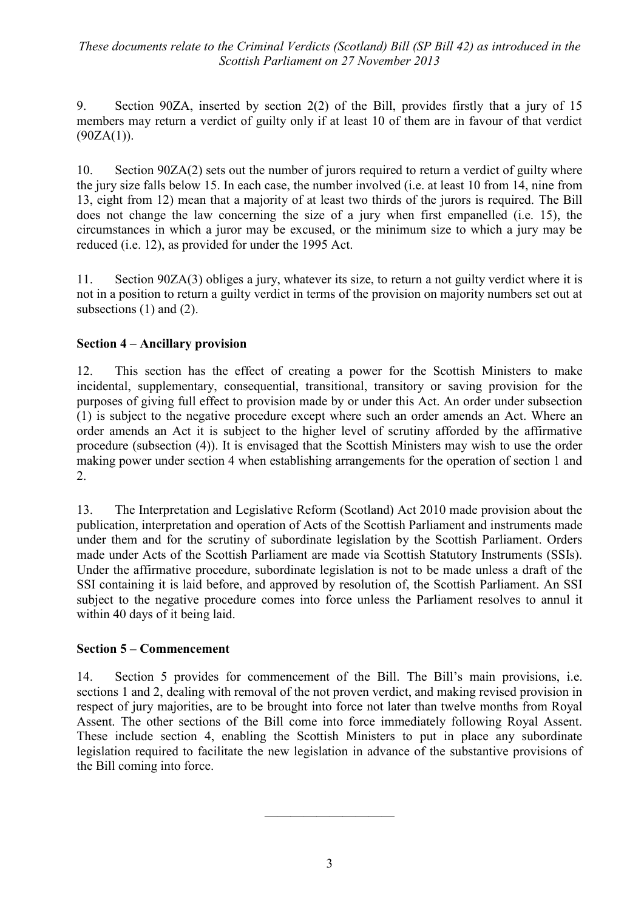9. Section 90ZA, inserted by section 2(2) of the Bill, provides firstly that a jury of 15 members may return a verdict of guilty only if at least 10 of them are in favour of that verdict  $(90ZA(1)).$ 

10. Section 90ZA(2) sets out the number of jurors required to return a verdict of guilty where the jury size falls below 15. In each case, the number involved (i.e. at least 10 from 14, nine from 13, eight from 12) mean that a majority of at least two thirds of the jurors is required. The Bill does not change the law concerning the size of a jury when first empanelled (i.e. 15), the circumstances in which a juror may be excused, or the minimum size to which a jury may be reduced (i.e. 12), as provided for under the 1995 Act.

11. Section 90ZA(3) obliges a jury, whatever its size, to return a not guilty verdict where it is not in a position to return a guilty verdict in terms of the provision on majority numbers set out at subsections (1) and (2).

#### **Section 4 – Ancillary provision**

12. This section has the effect of creating a power for the Scottish Ministers to make incidental, supplementary, consequential, transitional, transitory or saving provision for the purposes of giving full effect to provision made by or under this Act. An order under subsection (1) is subject to the negative procedure except where such an order amends an Act. Where an order amends an Act it is subject to the higher level of scrutiny afforded by the affirmative procedure (subsection (4)). It is envisaged that the Scottish Ministers may wish to use the order making power under section 4 when establishing arrangements for the operation of section 1 and 2.

13. The Interpretation and Legislative Reform (Scotland) Act 2010 made provision about the publication, interpretation and operation of Acts of the Scottish Parliament and instruments made under them and for the scrutiny of subordinate legislation by the Scottish Parliament. Orders made under Acts of the Scottish Parliament are made via Scottish Statutory Instruments (SSIs). Under the affirmative procedure, subordinate legislation is not to be made unless a draft of the SSI containing it is laid before, and approved by resolution of, the Scottish Parliament. An SSI subject to the negative procedure comes into force unless the Parliament resolves to annul it within 40 days of it being laid.

#### **Section 5 – Commencement**

14. Section 5 provides for commencement of the Bill. The Bill's main provisions, i.e. sections 1 and 2, dealing with removal of the not proven verdict, and making revised provision in respect of jury majorities, are to be brought into force not later than twelve months from Royal Assent. The other sections of the Bill come into force immediately following Royal Assent. These include section 4, enabling the Scottish Ministers to put in place any subordinate legislation required to facilitate the new legislation in advance of the substantive provisions of the Bill coming into force.

————————————————————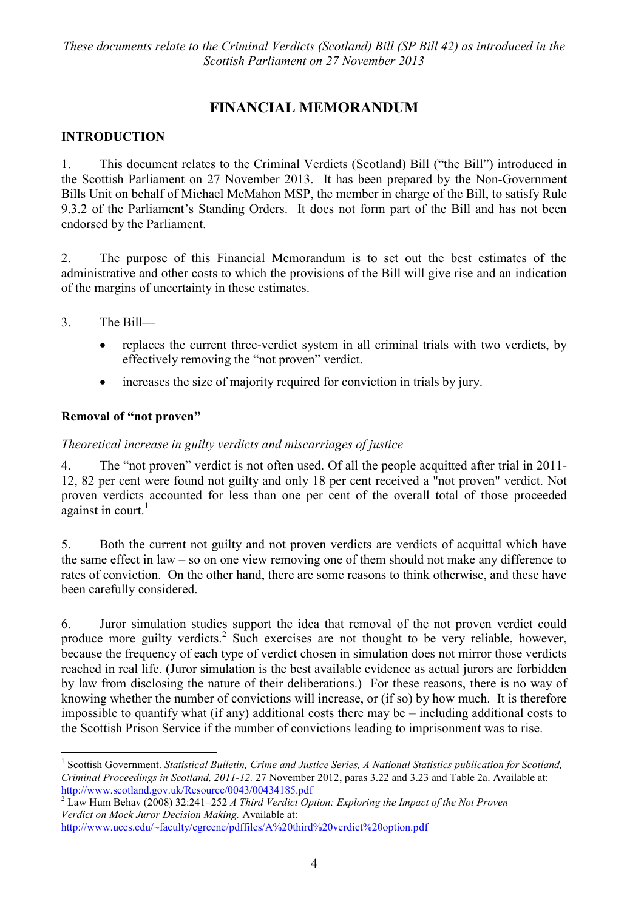# **FINANCIAL MEMORANDUM**

## **INTRODUCTION**

1. This document relates to the Criminal Verdicts (Scotland) Bill ("the Bill") introduced in the Scottish Parliament on 27 November 2013. It has been prepared by the Non-Government Bills Unit on behalf of Michael McMahon MSP, the member in charge of the Bill, to satisfy Rule 9.3.2 of the Parliament's Standing Orders. It does not form part of the Bill and has not been endorsed by the Parliament.

2. The purpose of this Financial Memorandum is to set out the best estimates of the administrative and other costs to which the provisions of the Bill will give rise and an indication of the margins of uncertainty in these estimates.

3. The Bill—

1

- replaces the current three-verdict system in all criminal trials with two verdicts, by effectively removing the "not proven" verdict.
- increases the size of majority required for conviction in trials by jury.

#### **Removal of "not proven"**

#### *Theoretical increase in guilty verdicts and miscarriages of justice*

4. The "not proven" verdict is not often used. Of all the people acquitted after trial in 2011-12, 82 per cent were found not guilty and only 18 per cent received a "not proven" verdict. Not proven verdicts accounted for less than one per cent of the overall total of those proceeded against in court.<sup>1</sup>

5. Both the current not guilty and not proven verdicts are verdicts of acquittal which have the same effect in law – so on one view removing one of them should not make any difference to rates of conviction. On the other hand, there are some reasons to think otherwise, and these have been carefully considered.

6. Juror simulation studies support the idea that removal of the not proven verdict could produce more guilty verdicts.<sup>2</sup> Such exercises are not thought to be very reliable, however, because the frequency of each type of verdict chosen in simulation does not mirror those verdicts reached in real life. (Juror simulation is the best available evidence as actual jurors are forbidden by law from disclosing the nature of their deliberations.) For these reasons, there is no way of knowing whether the number of convictions will increase, or (if so) by how much. It is therefore impossible to quantify what (if any) additional costs there may be – including additional costs to the Scottish Prison Service if the number of convictions leading to imprisonment was to rise.

<sup>1</sup> Scottish Government. *Statistical Bulletin, Crime and Justice Series, A National Statistics publication for Scotland, Criminal Proceedings in Scotland, 2011-12.* 27 November 2012, paras 3.22 and 3.23 and Table 2a. Available at: <http://www.scotland.gov.uk/Resource/0043/00434185.pdf>

<sup>2</sup> Law Hum Behav (2008) 32:241–252 *A Third Verdict Option: Exploring the Impact of the Not Proven Verdict on Mock Juror Decision Making.* Available at:

<http://www.uccs.edu/~faculty/egreene/pdffiles/A%20third%20verdict%20option.pdf>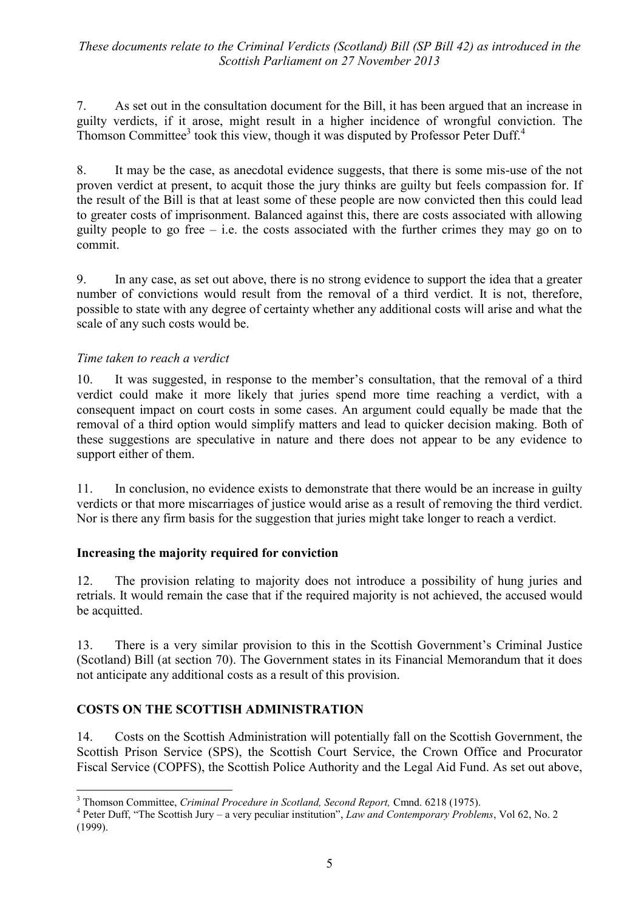7. As set out in the consultation document for the Bill, it has been argued that an increase in guilty verdicts, if it arose, might result in a higher incidence of wrongful conviction. The Thomson Committee<sup>3</sup> took this view, though it was disputed by Professor Peter Duff.<sup>4</sup>

8. It may be the case, as anecdotal evidence suggests, that there is some mis-use of the not proven verdict at present, to acquit those the jury thinks are guilty but feels compassion for. If the result of the Bill is that at least some of these people are now convicted then this could lead to greater costs of imprisonment. Balanced against this, there are costs associated with allowing guilty people to go free  $-$  i.e. the costs associated with the further crimes they may go on to commit.

9. In any case, as set out above, there is no strong evidence to support the idea that a greater number of convictions would result from the removal of a third verdict. It is not, therefore, possible to state with any degree of certainty whether any additional costs will arise and what the scale of any such costs would be.

#### *Time taken to reach a verdict*

10. It was suggested, in response to the member's consultation, that the removal of a third verdict could make it more likely that juries spend more time reaching a verdict, with a consequent impact on court costs in some cases. An argument could equally be made that the removal of a third option would simplify matters and lead to quicker decision making. Both of these suggestions are speculative in nature and there does not appear to be any evidence to support either of them.

11. In conclusion, no evidence exists to demonstrate that there would be an increase in guilty verdicts or that more miscarriages of justice would arise as a result of removing the third verdict. Nor is there any firm basis for the suggestion that juries might take longer to reach a verdict.

#### **Increasing the majority required for conviction**

12. The provision relating to majority does not introduce a possibility of hung juries and retrials. It would remain the case that if the required majority is not achieved, the accused would be acquitted.

13. There is a very similar provision to this in the Scottish Government's Criminal Justice (Scotland) Bill (at section 70). The Government states in its Financial Memorandum that it does not anticipate any additional costs as a result of this provision.

#### **COSTS ON THE SCOTTISH ADMINISTRATION**

 $\overline{a}$ 

14. Costs on the Scottish Administration will potentially fall on the Scottish Government, the Scottish Prison Service (SPS), the Scottish Court Service, the Crown Office and Procurator Fiscal Service (COPFS), the Scottish Police Authority and the Legal Aid Fund. As set out above,

<sup>3</sup> Thomson Committee, *Criminal Procedure in Scotland, Second Report,* Cmnd. 6218 (1975).

 $4$  Peter Duff, "The Scottish Jury – a very peculiar institution", *Law and Contemporary Problems*, Vol 62, No. 2 (1999).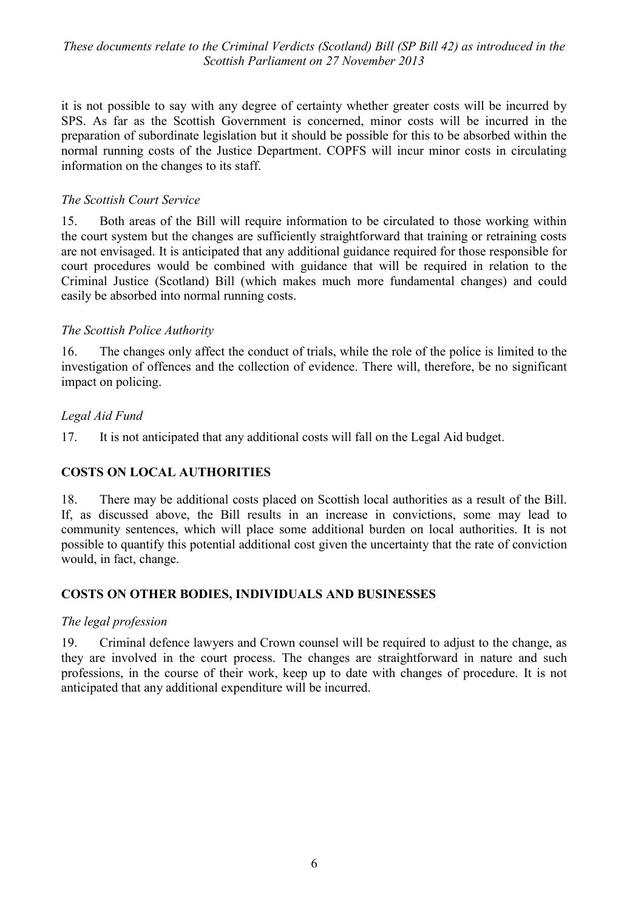it is not possible to say with any degree of certainty whether greater costs will be incurred by SPS. As far as the Scottish Government is concerned, minor costs will be incurred in the preparation of subordinate legislation but it should be possible for this to be absorbed within the normal running costs of the Justice Department. COPFS will incur minor costs in circulating information on the changes to its staff.

#### *The Scottish Court Service*

15. Both areas of the Bill will require information to be circulated to those working within the court system but the changes are sufficiently straightforward that training or retraining costs are not envisaged. It is anticipated that any additional guidance required for those responsible for court procedures would be combined with guidance that will be required in relation to the Criminal Justice (Scotland) Bill (which makes much more fundamental changes) and could easily be absorbed into normal running costs.

#### *The Scottish Police Authority*

16. The changes only affect the conduct of trials, while the role of the police is limited to the investigation of offences and the collection of evidence. There will, therefore, be no significant impact on policing.

#### *Legal Aid Fund*

17. It is not anticipated that any additional costs will fall on the Legal Aid budget.

#### **COSTS ON LOCAL AUTHORITIES**

18. There may be additional costs placed on Scottish local authorities as a result of the Bill. If, as discussed above, the Bill results in an increase in convictions, some may lead to community sentences, which will place some additional burden on local authorities. It is not possible to quantify this potential additional cost given the uncertainty that the rate of conviction would, in fact, change.

#### **COSTS ON OTHER BODIES, INDIVIDUALS AND BUSINESSES**

#### *The legal profession*

19. Criminal defence lawyers and Crown counsel will be required to adjust to the change, as they are involved in the court process. The changes are straightforward in nature and such professions, in the course of their work, keep up to date with changes of procedure. It is not anticipated that any additional expenditure will be incurred.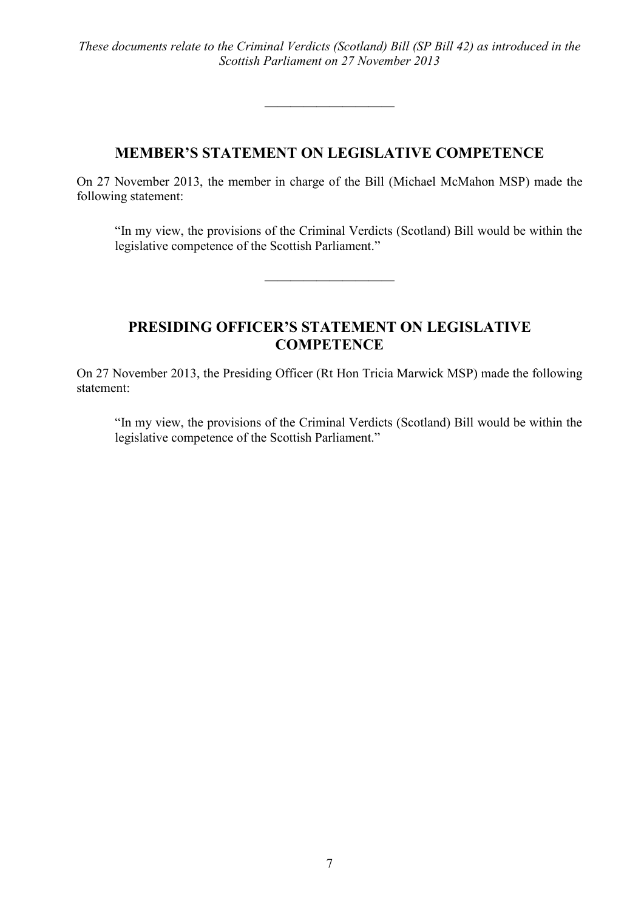## **MEMBER'S STATEMENT ON LEGISLATIVE COMPETENCE**

 $\frac{1}{\sqrt{2}}$ 

On 27 November 2013, the member in charge of the Bill (Michael McMahon MSP) made the following statement:

"In my view, the provisions of the Criminal Verdicts (Scotland) Bill would be within the legislative competence of the Scottish Parliament."

## **PRESIDING OFFICER'S STATEMENT ON LEGISLATIVE COMPETENCE**

——————————

On 27 November 2013, the Presiding Officer (Rt Hon Tricia Marwick MSP) made the following statement:

"In my view, the provisions of the Criminal Verdicts (Scotland) Bill would be within the legislative competence of the Scottish Parliament."